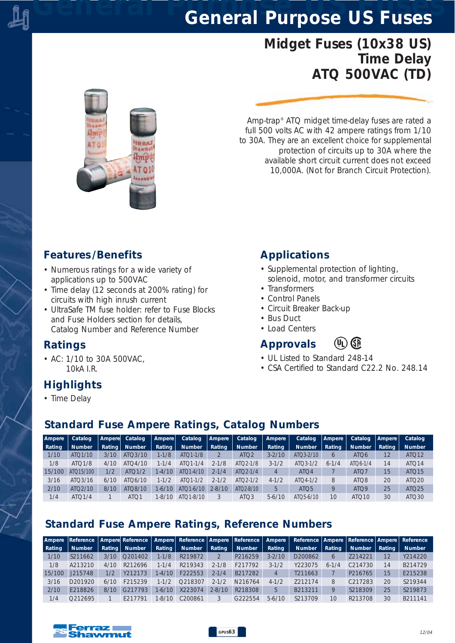# *General Purpose US Fuses General Purpose US Fuses*

## *Midget Fuses (10x38 US) Time Delay ATQ 500VAC (TD)*



*Amp-trap® ATQ midget time-delay fuses are rated a full 500 volts AC with 42 ampere ratings from 1/10 to 30A. They are an excellent choice for supplemental protection of circuits up to 30A where the available short circuit current does not exceed 10,000A. (Not for Branch Circuit Protection).*

#### *Features /Benefits*

- *Numerous ratings for a wide variety of applications up to 500VAC*
- *Time delay (12 seconds at 200% rating) for circuits with high inrush current*
- *UltraSafe TM fuse holder: refer to Fuse Blocks and Fuse Holders section for details, Catalog Number and Reference Number*

#### *Ratings*

*• AC: 1/10 to 30A 500VAC, 10kA I.R.*

### *Highlights*

- *Applications*
- *Supplemental protection of lighting, solenoid, motor, and transformer circuits*
- *Transformers*
- *Control Panels*
- *Circuit Breaker Back-up*
- *Bus Duct*
- *Load Centers*

### *Approvals*

- *UL Listed to Standard 248-14*
- *CSA Certified to Standard C22.2 No. 248.14*

 $(1)$  GP

*• Time Delay*

### *Standard Fuse Ampere Ratings, Catalog Numbers*

| Ampere | Catalog             | Ampere | Catalog          | Ampere    | Catalog       | Ampere     | Catalog               | Ampere     | Catalog                | Ampere     | Catalog           | Ampere | Catalog           |
|--------|---------------------|--------|------------------|-----------|---------------|------------|-----------------------|------------|------------------------|------------|-------------------|--------|-------------------|
| Rating | <b>Number</b>       | Rating | <b>Number</b>    | Rating    | <b>Number</b> | Rating     | <b>Number</b>         | Rating     | <b>Number</b>          | Rating     | <b>Number</b>     | Rating | <b>Number</b>     |
| 1/10   | ATO 1/10            | 3/10   | ATO3/10          | $1 - 1/8$ | $ATO1-1/8$    |            | ATQ <sub>2</sub>      | $3 - 2/10$ | $ATO3-2/10$            | $\epsilon$ | ATQ6              | 12     | ATQ12             |
| 1/8    | ATO1/8              | 4/10   | ATO4/10          | $1 - 1/4$ | $ATO1-1/4$    | $2 - 1/8$  | ATO <sub>2</sub> -1/8 | $3-1/2$    | $ATO3-1/2$             | $6 - 1/4$  | ATO6-1/4          | 14     | ATQ14             |
| 15/100 | ATO15/100           | 1/2    | ATO1/2           | $1-4/10$  | $ATO1-4/10$   | $2 - 1/4$  | ATQ2-1/4              | 4          | ATO <sub>4</sub>       |            | ATO <sub>7</sub>  | 15     | ATQ15             |
| 3/16   | ATO3/16             | 6/10   | ATO6/10          | $1 - 1/2$ | $ATO1-1/2$    | $2 - 1/2$  | $ATO2 - 1/2$          | $4 - 1/2$  | $ATO4-1/2$             | 8          | ATO <sub>8</sub>  | 20     | ATO <sub>20</sub> |
| 2/10   | ATO <sub>2/10</sub> | 8/10   | ATO8/10          | $1-6/10$  | ATO1-6/10     | $2 - 8/10$ | $ATO2-8/10$           | 5          | ATO <sub>5</sub>       | Q          | ATO <sub>9</sub>  | 25     | ATQ <sub>25</sub> |
| 1/4    | ATO1/4              |        | ATO <sub>1</sub> | 1-8/10    | $ATO1 - 8/10$ |            | ATQ3                  | $5-6/10$   | ATO <sub>5</sub> -6/10 | 10         | ATO <sub>10</sub> | 30     | ATO30             |

## *Standard Fuse Ampere Ratings, Reference Numbers*

|        |                     |      |                 |           | Ampere Reference   Ampere Reference   Ampere   Reference   Ampere   Reference |            |               | Ampere     |               |               |                     |        | Reference   Ampere   Reference   Ampere   Reference |
|--------|---------------------|------|-----------------|-----------|-------------------------------------------------------------------------------|------------|---------------|------------|---------------|---------------|---------------------|--------|-----------------------------------------------------|
| Rating | <b>Number</b>       |      | Rating   Number | Rating    | <b>Number</b>                                                                 | Rating     | <b>Number</b> | Rating     | <b>Number</b> | Rating        | <b>Number</b>       | Rating | <b>Number</b>                                       |
| 1/10   | S211662             | 3/10 | O201402         | $1 - 1/8$ | R219872                                                                       |            | P216259       | $3 - 2/10$ | D200862       | h             | 7214221             | 12     | Y214220                                             |
| 1/8    | A213210             | 4/10 | R212696         | $1 - 1/4$ | R219343                                                                       | $2 - 1/8$  | F217792       | $3-1/2$    | Y223075       | $6 - 1$<br>/4 | C <sub>214730</sub> | 14     | B214729                                             |
| 15/100 | J215748             | 1/2  | Y212173         | 1-4/10    | F222553                                                                       | $2 - 1/4$  | B217282       | 4          | T211663       |               | P216765             | 15     | E215238                                             |
| 3/16   | D201920             | 6/10 | F215239         | $1 - 1/2$ | O218307                                                                       | $2 - 1/2$  | N216764       | $4 - 1/2$  | 7212174       | 8             | C <sub>217283</sub> | 20     | S219344                                             |
| 2/10   | F218826             | 8/10 | G217793         | $1-6/10$  | X223074                                                                       | $2 - 8/10$ | R218308       | 5          | B213211       | Q             | S218309             | 25     | S219873                                             |
| 1/4    | O <sub>212695</sub> |      | F217791         | $-8/10$   | C200861                                                                       |            | G222554       | $5-6/10$   | S213709       | 10            | R213708             | 30     | B211141                                             |